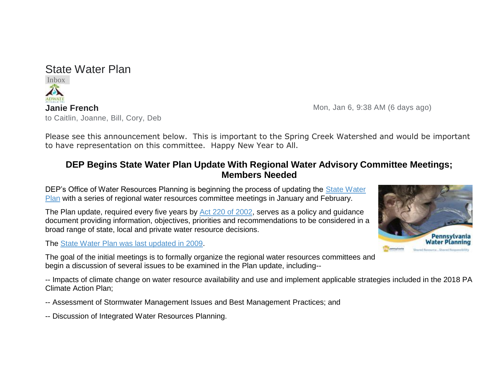## State Water Plan

Inbox x to Caitlin, Joanne, Bill, Cory, Deb

**Janie French** Mon, Jan 6, 9:38 AM (6 days ago)

Please see this announcement below. This is important to the Spring Creek Watershed and would be important to have representation on this committee. Happy New Year to All.

## **DEP Begins State Water Plan Update With Regional Water Advisory Committee Meetings; Members Needed**

DEP's Office of Water Resources Planning is beginning the process of updating the State Water [Plan](https://www.dep.pa.gov/Business/Water/PlanningConservation/StateWaterPlan/Pages/default.aspx) with a series of regional water resources committee meetings in January and February.

The Plan update, required every five years by [Act 220 of 2002,](https://www.legis.state.pa.us/cfdocs/legis/li/uconsCheck.cfm?yr=2002&sessInd=0&act=220) serves as a policy and quidance document providing information, objectives, priorities and recommendations to be considered in a broad range of state, local and private water resource decisions.

The [State Water Plan was last updated in 2009.](https://www.dep.pa.gov/Business/Water/PlanningConservation/StateWaterPlan/Pages/2009-Update.aspx)

The goal of the initial meetings is to formally organize the regional water resources committees and begin a discussion of several issues to be examined in the Plan update, including--

-- Impacts of climate change on water resource availability and use and implement applicable strategies included in the 2018 PA Climate Action Plan;

- -- Assessment of Stormwater Management Issues and Best Management Practices; and
- -- Discussion of Integrated Water Resources Planning.

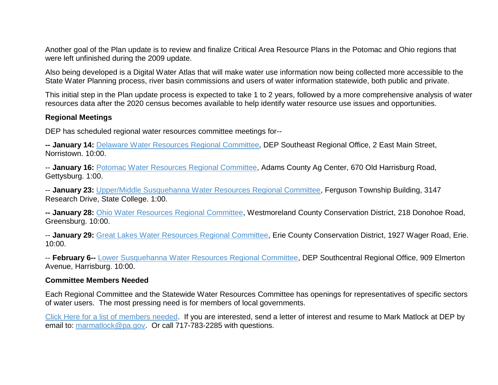Another goal of the Plan update is to review and finalize Critical Area Resource Plans in the Potomac and Ohio regions that were left unfinished during the 2009 update.

Also being developed is a Digital Water Atlas that will make water use information now being collected more accessible to the State Water Planning process, river basin commissions and users of water information statewide, both public and private.

This initial step in the Plan update process is expected to take 1 to 2 years, followed by a more comprehensive analysis of water resources data after the 2020 census becomes available to help identify water resource use issues and opportunities.

## **Regional Meetings**

DEP has scheduled regional water resources committee meetings for--

**-- January 14:** [Delaware Water Resources Regional Committee,](https://www.dep.pa.gov/Business/Water/PlanningConservation/StateWaterPlan/Committees/Delaware/Pages/default.aspx) DEP Southeast Regional Office, 2 East Main Street, Norristown. 10:00.

-- **January 16:** [Potomac Water Resources Regional Committee,](https://www.dep.pa.gov/Business/Water/PlanningConservation/StateWaterPlan/Committees/Potomac/Pages/Members.aspx) Adams County Ag Center, 670 Old Harrisburg Road, Gettysburg. 1:00.

-- **January 23:** [Upper/Middle Susquehanna Water Resources Regional Committee,](https://www.dep.pa.gov/Business/Water/PlanningConservation/StateWaterPlan/Committees/Upper-Middle%20Susquehanna/Pages/default.aspx) Ferguson Township Building, 3147 Research Drive, State College. 1:00.

**-- January 28:** [Ohio Water Resources Regional Committee,](https://www.dep.pa.gov/Business/Water/PlanningConservation/StateWaterPlan/Committees/Ohio/Pages/default.aspx) Westmoreland County Conservation District, 218 Donohoe Road, Greensburg. 10:00.

-- **January 29:** [Great Lakes Water Resources Regional Committee,](https://www.dep.pa.gov/Business/Water/PlanningConservation/StateWaterPlan/Committees/GreatLakes/Pages/default.aspx) Erie County Conservation District, 1927 Wager Road, Erie. 10:00.

-- **February 6--** [Lower Susquehanna Water Resources Regional Committee,](https://www.dep.pa.gov/Business/Water/PlanningConservation/StateWaterPlan/Committees/LowerSusquehanna/Pages/default.aspx) DEP Southcentral Regional Office, 909 Elmerton Avenue, Harrisburg. 10:00.

## **Committee Members Needed**

Each Regional Committee and the Statewide Water Resources Committee has openings for representatives of specific sectors of water users. The most pressing need is for members of local governments.

[Click Here for a list of members needed.](https://www.dep.pa.gov/Business/Water/PlanningConservation/StateWaterPlan/Committees/Pages/default.aspx) If you are interested, send a letter of interest and resume to Mark Matlock at DEP by email to: [marmatlock@pa.gov.](mailto:marmatlock@pa.gov) Or call 717-783-2285 with questions.